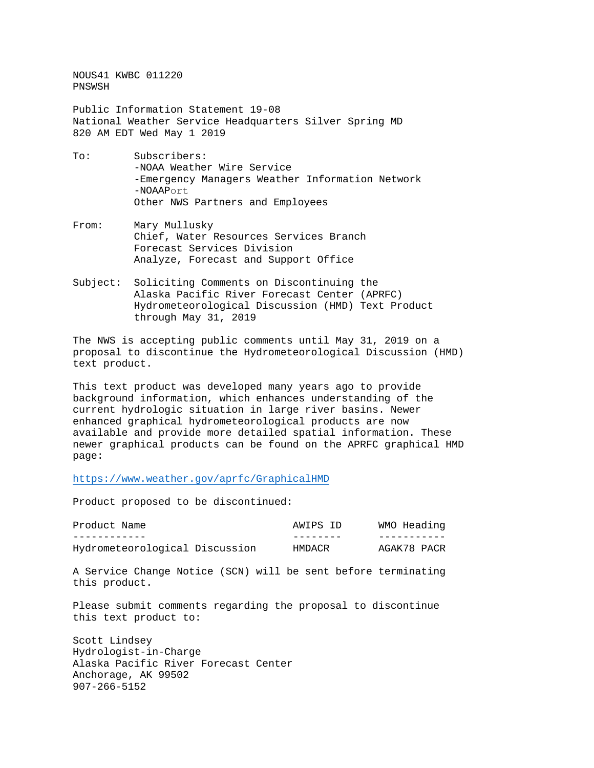NOUS41 KWBC 011220 PNSWSH

Public Information Statement 19-08 National Weather Service Headquarters Silver Spring MD 820 AM EDT Wed May 1 2019

- To: Subscribers: -NOAA Weather Wire Service -Emergency Managers Weather Information Network -NOAAPort Other NWS Partners and Employees
- From: Mary Mullusky Chief, Water Resources Services Branch Forecast Services Division Analyze, Forecast and Support Office
- Subject: Soliciting Comments on Discontinuing the Alaska Pacific River Forecast Center (APRFC) Hydrometeorological Discussion (HMD) Text Product through May 31, 2019

The NWS is accepting public comments until May 31, 2019 on a proposal to discontinue the Hydrometeorological Discussion (HMD) text product.

This text product was developed many years ago to provide background information, which enhances understanding of the current hydrologic situation in large river basins. Newer enhanced graphical hydrometeorological products are now available and provide more detailed spatial information. These newer graphical products can be found on the APRFC graphical HMD page:

<https://www.weather.gov/aprfc/GraphicalHMD>

Product proposed to be discontinued:

| Product Name                   | AWIPS ID | WMO Heading |
|--------------------------------|----------|-------------|
|                                |          |             |
| Hydrometeorological Discussion | HMDACR   | AGAK78 PACR |

A Service Change Notice (SCN) will be sent before terminating this product.

Please submit comments regarding the proposal to discontinue this text product to:

Scott Lindsey Hydrologist-in-Charge Alaska Pacific River Forecast Center Anchorage, AK 99502 907-266-5152